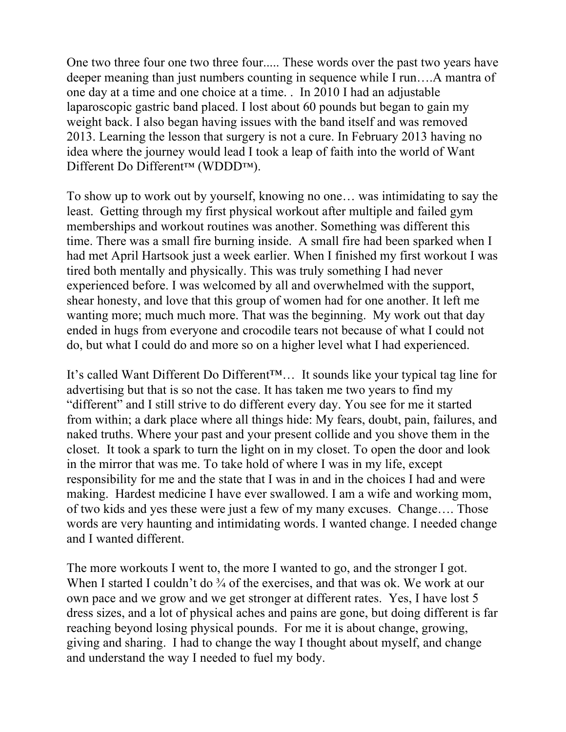One two three four one two three four..... These words over the past two years have deeper meaning than just numbers counting in sequence while I run….A mantra of one day at a time and one choice at a time. . In 2010 I had an adjustable laparoscopic gastric band placed. I lost about 60 pounds but began to gain my weight back. I also began having issues with the band itself and was removed 2013. Learning the lesson that surgery is not a cure. In February 2013 having no idea where the journey would lead I took a leap of faith into the world of Want Different Do Different™ (WDDD™).

To show up to work out by yourself, knowing no one… was intimidating to say the least. Getting through my first physical workout after multiple and failed gym memberships and workout routines was another. Something was different this time. There was a small fire burning inside. A small fire had been sparked when I had met April Hartsook just a week earlier. When I finished my first workout I was tired both mentally and physically. This was truly something I had never experienced before. I was welcomed by all and overwhelmed with the support, shear honesty, and love that this group of women had for one another. It left me wanting more; much much more. That was the beginning. My work out that day ended in hugs from everyone and crocodile tears not because of what I could not do, but what I could do and more so on a higher level what I had experienced.

It's called Want Different Do Different™… It sounds like your typical tag line for advertising but that is so not the case. It has taken me two years to find my "different" and I still strive to do different every day. You see for me it started from within; a dark place where all things hide: My fears, doubt, pain, failures, and naked truths. Where your past and your present collide and you shove them in the closet. It took a spark to turn the light on in my closet. To open the door and look in the mirror that was me. To take hold of where I was in my life, except responsibility for me and the state that I was in and in the choices I had and were making. Hardest medicine I have ever swallowed. I am a wife and working mom, of two kids and yes these were just a few of my many excuses. Change…. Those words are very haunting and intimidating words. I wanted change. I needed change and I wanted different.

The more workouts I went to, the more I wanted to go, and the stronger I got. When I started I couldn't do <sup>3</sup>/<sub>4</sub> of the exercises, and that was ok. We work at our own pace and we grow and we get stronger at different rates. Yes, I have lost 5 dress sizes, and a lot of physical aches and pains are gone, but doing different is far reaching beyond losing physical pounds. For me it is about change, growing, giving and sharing. I had to change the way I thought about myself, and change and understand the way I needed to fuel my body.